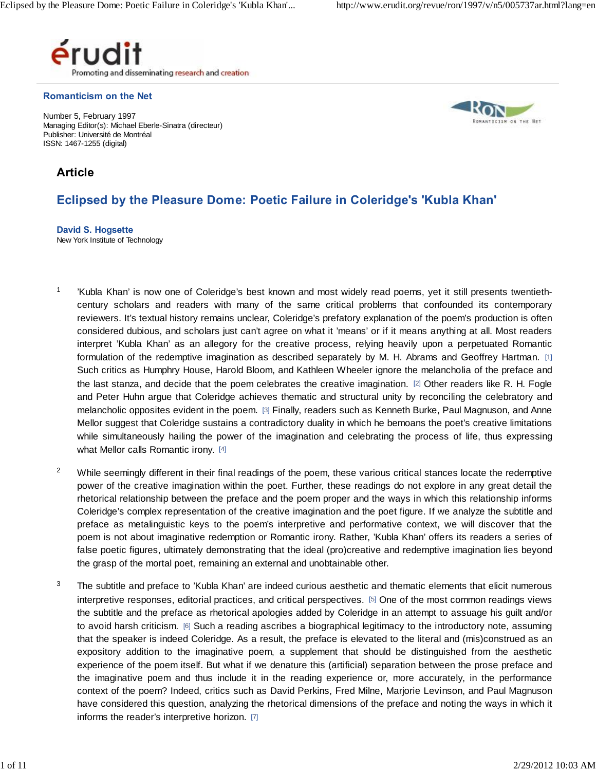

#### **Romanticism on the Net**

Number 5, February 1997 Managing Editor(s): Michael Eberle-Sinatra (directeur) Publisher: Université de Montréal ISSN: 1467-1255 (digital)



# **Article**

# **Eclipsed by the Pleasure Dome: Poetic Failure in Coleridge's 'Kubla Khan'**

**David S. Hogsette** New York Institute of Technology

- <sup>1</sup> 'Kubla Khan' is now one of Coleridge's best known and most widely read poems, yet it still presents twentiethcentury scholars and readers with many of the same critical problems that confounded its contemporary reviewers. It's textual history remains unclear, Coleridge's prefatory explanation of the poem's production is often considered dubious, and scholars just can't agree on what it 'means' or if it means anything at all. Most readers interpret 'Kubla Khan' as an allegory for the creative process, relying heavily upon a perpetuated Romantic formulation of the redemptive imagination as described separately by M. H. Abrams and Geoffrey Hartman. [1] Such critics as Humphry House, Harold Bloom, and Kathleen Wheeler ignore the melancholia of the preface and the last stanza, and decide that the poem celebrates the creative imagination. [2] Other readers like R. H. Fogle and Peter Huhn argue that Coleridge achieves thematic and structural unity by reconciling the celebratory and melancholic opposites evident in the poem. [3] Finally, readers such as Kenneth Burke, Paul Magnuson, and Anne Mellor suggest that Coleridge sustains a contradictory duality in which he bemoans the poet's creative limitations while simultaneously hailing the power of the imagination and celebrating the process of life, thus expressing what Mellor calls Romantic irony. [4]
- $2$  While seemingly different in their final readings of the poem, these various critical stances locate the redemptive power of the creative imagination within the poet. Further, these readings do not explore in any great detail the rhetorical relationship between the preface and the poem proper and the ways in which this relationship informs Coleridge's complex representation of the creative imagination and the poet figure. If we analyze the subtitle and preface as metalinguistic keys to the poem's interpretive and performative context, we will discover that the poem is not about imaginative redemption or Romantic irony. Rather, 'Kubla Khan' offers its readers a series of false poetic figures, ultimately demonstrating that the ideal (pro)creative and redemptive imagination lies beyond the grasp of the mortal poet, remaining an external and unobtainable other.
- $3$  The subtitle and preface to 'Kubla Khan' are indeed curious aesthetic and thematic elements that elicit numerous interpretive responses, editorial practices, and critical perspectives. [5] One of the most common readings views the subtitle and the preface as rhetorical apologies added by Coleridge in an attempt to assuage his guilt and/or to avoid harsh criticism. [6] Such a reading ascribes a biographical legitimacy to the introductory note, assuming that the speaker is indeed Coleridge. As a result, the preface is elevated to the literal and (mis)construed as an interpretive responses, editorial practices, and critical perspectives. [5] One of the most common readings views<br>the subtitle and the preface as rhetorical apologies added by Coleridge in an attempt to assuage his guilt a experience of the poem itself. But what if we denature this (artificial) separation between the prose preface and the imaginative poem and thus include it in the reading experience or, more accurately, in the performance context of the poem? Indeed, critics such as David Perkins, Fred Milne, Marjorie Levinson, and Paul Magnuson have considered this question, analyzing the rhetorical dimensions of the preface and noting the ways in which it informs the reader's interpretive horizon. [7]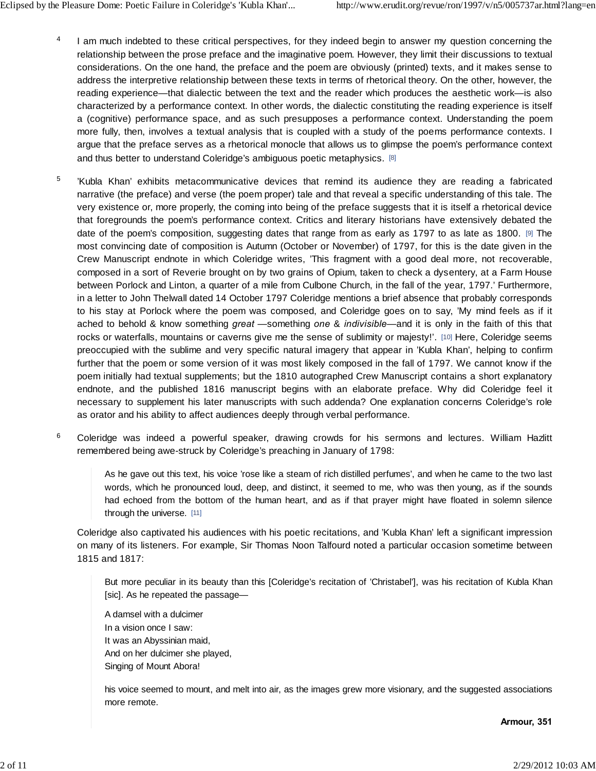- <sup>4</sup> I am much indebted to these critical perspectives, for they indeed begin to answer my question concerning the relationship between the prose preface and the imaginative poem. However, they limit their discussions to textual considerations. On the one hand, the preface and the poem are obviously (printed) texts, and it makes sense to address the interpretive relationship between these texts in terms of rhetorical theory. On the other, however, the reading experience—that dialectic between the text and the reader which produces the aesthetic work—is also characterized by a performance context. In other words, the dialectic constituting the reading experience is itself a (cognitive) performance space, and as such presupposes a performance context. Understanding the poem more fully, then, involves a textual analysis that is coupled with a study of the poems performance contexts. I<br>argue that the preface serves as a rhetorical monocle that allows us to glimpse the poem's performance context argue that the preface serves as a rhetorical monocle that allows us to glimpse the poem's performance context and thus better to understand Coleridge's ambiguous poetic metaphysics. [8]
- <sup>5</sup> 'Kubla Khan' exhibits metacommunicative devices that remind its audience they are reading a fabricated narrative (the preface) and verse (the poem proper) tale and that reveal a specific understanding of this tale. The very existence or, more properly, the coming into being of the preface suggests that it is itself a rhetorical device that foregrounds the poem's performance context. Critics and literary historians have extensively debated the date of the poem's composition, suggesting dates that range from as early as 1797 to as late as 1800. [9] The most convincing date of composition is Autumn (October or November) of 1797, for this is the date given in the Crew Manuscript endnote in which Coleridge writes, 'This fragment with a good deal more, not recoverable, composed in a sort of Reverie brought on by two grains of Opium, taken to check a dysentery, at a Farm House between Porlock and Linton, a quarter of a mile from Culbone Church, in the fall of the year, 1797.' Furthermore, in a letter to John Thelwall dated 14 October 1797 Coleridge mentions a brief absence that probably corresponds to his stay at Porlock where the poem was composed, and Coleridge goes on to say, 'My mind feels as if it ached to behold & know something *great* —something *one* & *indivisible*—and it is only in the faith of this that rocks or waterfalls, mountains or caverns give me the sense of sublimity or majesty!'. [10] Here, Coleridge seems<br>preoccupied with the sublime and very specific natural imagery that appear in 'Kubla Khan', helping to confi preoccupied with the sublime and very specific natural imagery that appear in 'Kubla Khan', helping to confirm further that the poem or some version of it was most likely composed in the fall of 1797. We cannot know if the poem initially had textual supplements; but the 1810 autographed Crew Manuscript contains a short explanatory necessary to supplement his later manuscripts with such addenda? One explanation concerns Coleridge's role as orator and his ability to affect audiences deeply through verbal performance. endnote, and the published 1816 manuscript begins with an elaborate preface. Why did Coleridge feel it<br>necessary to supplement his later manuscripts with such addenda? One explanation concerns Coleridge's role<br>as orator an
- <sup>6</sup> Co remembered being awe-struck by Coleridge's preaching in January of 1798:

As he gave out this text, his voice 'rose like a steam of rich distilled perfumes', and when he came to the two last words, which he pronounced loud, deep, and distinct, it seemed to me, who was then young, as if the sounds had echoed from the bottom of the human heart, and as if that prayer might have floated in solemn silence through the universe. [11]

Coleridge also captivated his audiences with his poetic recitations, and 'Kubla Khan' left a significant impression on many of its listeners. For example, Sir Thomas Noon Talfourd noted a particular occasion sometime between 1815 and 1817:

But more peculiar in its beauty than this [Coleridge's recitation of 'Christabel'], was his recitation of Kubla Khan [sic]. As he repeated the passage—

A damsel with a dulcimer In a vision once I saw: It was an Abyssinian maid, And on her dulcimer she played, Singing of Mount Abora!

his voice seemed to mount, and melt into air, as the images grew more visionary, and the suggested associations more remote.

**Armour, 351**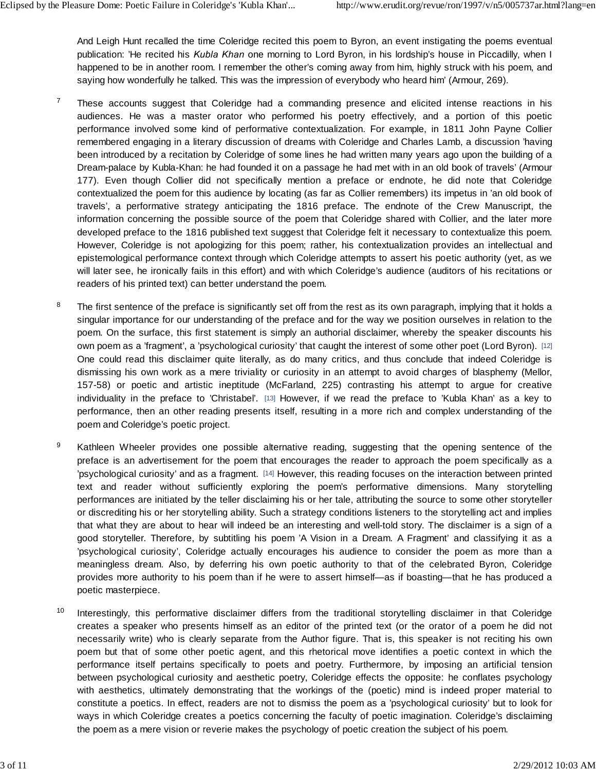And Leigh Hunt recalled the time Coleridge recited this poem to Byron, an event instigating the poems eventual publication: 'He recited his *Kubla Khan* one morning to Lord Byron, in his lordship's house in Piccadilly, when I happened to be in another room. I remember the other's coming away from him, highly struck with his poem, and saying how wonderfully he talked. This was the impression of everybody who heard him' (Armour, 269). publication: 'He recited his *Kubla Khan* one morning to Lord Byron, in his lordship's house in Piccadilly, when I<br>happened to be in another room. I remember the other's coming away from him, highly struck with his poem, a

- <sup>7</sup> These accounts suggest that Coleridge had a commanding presence and elicited intense reactions in his happened to be in another room. I remember the other's coming away from him, highly struck with his poem, and<br>saying how wonderfully he talked. This was the impression of everybody who heard him' (Armour, 269).<br>These accou performance involved some kind of performative contextualization. For example, in 1811 John Payne Collier remembered engaging in a literary discussion of dreams with Coleridge and Charles Lamb, a discussion 'having been introduced by a recitation by Coleridge of some lines he had written many years ago upon the building of a Dream-palace by Kubla-Khan: he had founded it on a passage he had met with in an old book of travels' (Armour performance involved some kind of performative contextualization. For example, in 1811 John Payne Collier<br>remembered engaging in a literary discussion of dreams with Coleridge and Charles Lamb, a discussion 'having<br>been in contextualized the poem for this audience by locating (as far as Collier remembers) its impetus in 'an old book of been introduced by a recitation by Coleridge of some lines he had written many years ago upon the building of a<br>Dream-palace by Kubla-Khan: he had founded it on a passage he had met with in an old book of travels' (Armour<br> developed preface to the 1816 published text suggest that Coleridge felt it necessary to contextualize this poem. However, Coleridge is not apologizing for this poem; rather, his contextualization provides an intellectual and epistemological performance context through which Coleridge attempts to assert his poetic authority (yet, as we will later see, he ironically fails in this effort) and with which Coleridge's audience (auditors of his recitations or readers of his printed text) can better understand the poem.
- $8$  The first sentence of the preface is significantly set off from the rest as its own paragraph, implying that it holds a singular importance for our understanding of the preface and for the way we position ourselves in relation to the poem. On the surface, this first statement is simply an authorial disclaimer, whereby the speaker discounts his own poem as a 'fragment', a 'psychological curiosity' that caught the interest of some other poet (Lord Byron). [12] One could read this disclaimer quite literally, as do many critics, and thus conclude that indeed Coleridge is dismissing his own work as a mere triviality or curiosity in an attempt to avoid charges of blasphemy (Mellor, 157-58) or poetic and artistic ineptitude (McFarland, 225) contrasting his attempt to argue for creative individuality in the preface to 'Christabel'. [13] However, if we read the preface to 'Kubla Khan' as a key to performance, then an other reading presents itself, resulting in a more rich and complex understanding of the poem and Coleridge's poetic project. individuality in the preface to 'Christabel'. [13] However, if we read the preface to 'Kubla Khan' as a key to<br>performance, then an other reading presents itself, resulting in a more rich and complex understanding of the<br>p
- <sup>9</sup> Kathleen Wheeler provides one possible alternative reading, suggesting that the opening sentence of the 'psychological curiosity' and as a fragment. [14] However, this reading focuses on the interaction between printed text and reader without sufficiently exploring the poem's performative dimensions. Many storytelling performances are initiated by the teller disclaiming his or her tale, attributing the source to some other storyteller or discrediting his or her storytelling ability. Such a strategy conditions listeners to the storytelling act and implies that what they are about to hear will indeed be an interesting and well-told story. The disclaimer is a sign of a good storyteller. Therefore, by subtitling his poem 'A Vision in a Dream. A Fragment' and classifying it as a performances are initiated by the teller disclaiming his or her tale, attributing the source to some other storyteller<br>or discrediting his or her storytelling ability. Such a strategy conditions listeners to the storytelli or discrediting his or her storytelling ability. Such a strategy conditions listeners to the storytelling act and implies<br>that what they are about to hear will indeed be an interesting and well-told story. The disclaimer i provides more authority to his poem than if he were to assert himself—as if boasting—that he has produced a poetic masterpiece. meaningless dream. Also, by deferring his own poetic authority to that of the celebrated Byron, Coleridge<br>provides more authority to his poem than if he were to assert himself—as if boasting—that he has produced a<br>poetic m
- <sup>10</sup> Interestingly, this performative disclaimer differs from the traditional storytelling disclaimer in that Coleridge necessarily write) who is clearly separate from the Author figure. That is, this speaker is not reciting his own poem but that of some other poetic agent, and this rhetorical move identifies a poetic context in which the Interestingly, this performative disclaimer differs from the traditional storytelling disclaimer in that Coleridge creates a speaker who presents himself as an editor of the printed text (or the orator of a poem he did not between psychological curiosity and aesthetic poetry, Coleridge effects the opposite: he conflates psychology with aesthetics, ultimately demonstrating that the workings of the (poetic) mind is indeed proper material to constitute a poetics. In effect, readers are not to dismiss the poem as a 'psychological curiosity' but to look for ways in which Coleridge creates a poetics concerning the faculty of poetic imagination. Coleridge's disclaiming the poem as a mere vision or reverie makes the psychology of poetic creation the subject of his poem.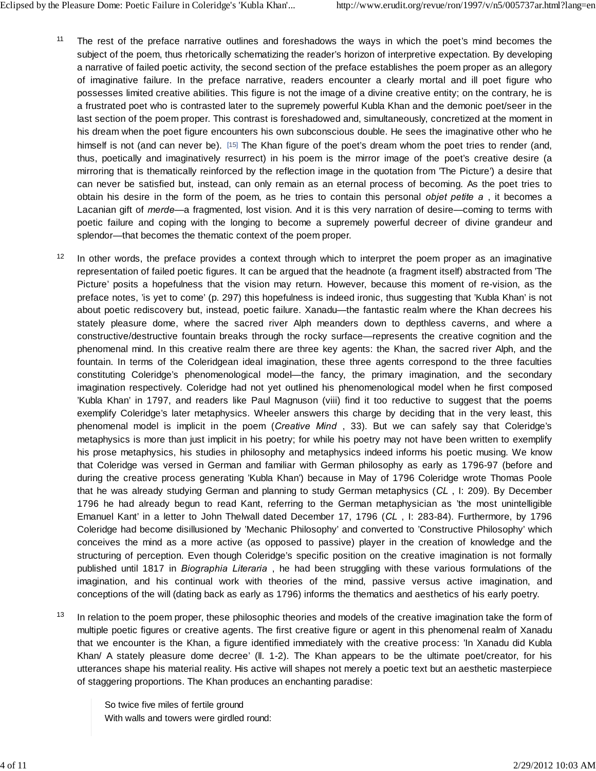- <sup>11</sup> The rest of the preface narrative outlines and foreshadows the ways in which the poet's mind becomes the subject of the poem, thus rhetorically schematizing the reader's horizon of interpretive expectation. By developing a narrative of failed poetic activity, the second section of the preface establishes the poem proper as an allegory of imaginative failure. In the preface narrative, readers encounter a clearly mortal and ill poet figure who possesses limited creative abilities. This figure is not the image of a divine creative entity; on the contrary, he is a frustrated poet who is contrasted later to the supremely powerful Kubla Khan and the demonic poet/seer in the last section of the poem proper. This contrast is foreshadowed and, simultaneously, concretized at the moment in his dream when the poet figure encounters his own subconscious double. He sees the imaginative other who he himself is not (and can never be). [15] The Khan figure of the poet's dream whom the poet tries to render (and, thus, poetically and imaginatively resurrect) in his poem is the mirror image of the poet's creative desire (a mirroring that is thematically reinforced by the reflection image in the quotation from 'The Picture') a desire that<br>can never be satisfied but, instead, can only remain as an eternal process of becoming. As the poet tries can never be satisfied but, instead, can only remain as an eternal process of becoming. As the poet tries to obtain his desire in the form of the poem, as he tries to contain this personal *objet petite a* , it becomes a Lacanian gift of *merde*—a fragmented, lost vision. And it is this very narration of desire—coming to terms with splendor—that becomes the thematic context of the poem proper.
- <sup>12</sup> In other words, the preface provides a context through which to interpret the poem proper as an imaginative representation of failed poetic figures. It can be argued that the headnote (a fragment itself) abstracted from 'The Picture' posits a hopefulness that the vision may return. However, because this moment of re-vision, as the preface notes, 'is yet to come' (p. 297) this hopefulness is indeed ironic, thus suggesting that 'Kubla Khan' is not about poetic rediscovery but, instead, poetic failure. Xanadu—the fantastic realm where the Khan decrees his representation of failed poetic figures. It can be argued that the headnote (a fragment itself) abstracted from The<br>Picture' posits a hopefulness that the vision may return. However, because this moment of re-vision, as th constructive/destructive fountain breaks through the rocky surface—represents the creative cognition and the phenomenal mind. In this creative realm there are three key agents: the Khan, the sacred river Alph, and the fountain. In terms of the Coleridgean ideal imagination, these three agents correspond to the three faculties stately pleasure dome, where the sacred river Alph meanders down to depthless caverns, and where a<br>constructive/destructive fountain breaks through the rocky surface—represents the creative cognition and the<br>phenomenal min imagination respectively. Coleridge had not yet outlined his phenomenological model when he first composed 'Kubla Khan' in 1797, and readers like Paul Magnuson (viii) find it too reductive to suggest that the poems exemplify Coleridge's later metaphysics. Wheeler answers this charge by deciding that in the very least, this constituting Coleridge's phenomenological model—the fancy, the primary imagination, and the secondary imagination respectively. Coleridge had not yet outlined his phenomenological model when he first composed 'Kubla Khan' metaphysics is more than just implicit in his poetry; for while his poetry may not have been written to exemplify his prose metaphysics, his studies in philosophy and metaphysics indeed informs his poetic musing. We know that Coleridge was versed in German and familiar with German philosophy as early as 1796-97 (before and during the creative process generating 'Kubla Khan') because in May of 1796 Coleridge wrote Thomas Poole that he was already studying German and planning to study German metaphysics (*CL* , I: 209). By December 1796 he had already begun to read Kant, referring to the German metaphysician as 'the most unintelligible Emanuel Kant' in a letter to John Thelwall dated December 17, 1796 (*CL* , I: 283-84). Furthermore, by 1796 Coleridge had become disillusioned by 'Mechanic Philosophy' and converted to 'Constructive Philosophy' which conceives the mind as a more active (as opposed to passive) player in the creation of knowledge and the structuring of perception. Even though Coleridge's specific position on the creative imagination is not formally published until 1817 in *Biographia Literaria* , he had been struggling with these various formulations of the imagination, and his continual work with theories of the mind, passive versus active imagination, and conceptions of the will (dating back as early as 1796) informs the thematics and aesthetics of his early poetry.
- <sup>13</sup> In relation to the poem proper, these philosophic theories and models of the creative imagination take the form of multiple poetic figures or creative agents. The first creative figure or agent in this phenomenal realm of Xanadu that we encounter is the Khan, a figure identified immediately with the creative process: 'In Xanadu did Kubla In relation to the poem proper, these philosophic theories and models of the creative imagination take the form of multiple poetic figures or creative agents. The first creative figure or agent in this phenomenal realm of of staggering proportions. The Khan produces an enchanting paradise:

So twice five miles of fertile ground With walls and towers were girdled round: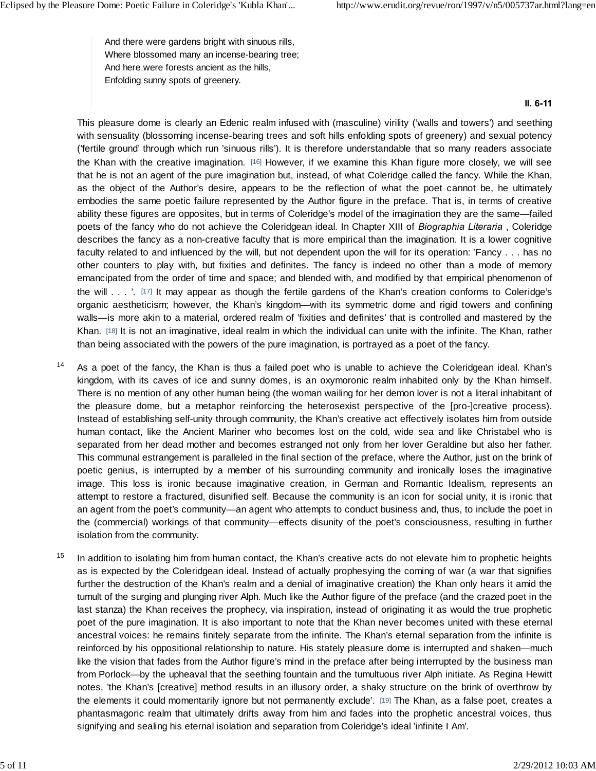And there were gardens bright with sinuous rills, Where blossomed many an incense-bearing tree; And here were forests ancient as the hills, Enfolding sunny spots of greenery.

#### **ll. 6-11**

This pleasure dome is clearly an Edenic realm infused with (masculine) virility ('walls and towers') and seething with sensuality (blossoming incense-bearing trees and soft hills enfolding spots of greenery) and sexual potency ('fertile ground' through which run 'sinuous rills'). It is therefore understandable that so many readers associate the Khan with the creative imagination. [16] However, if we examine this Khan figure more closely, we will see that he is not an agent of the pure imagination but, instead, of what Coleridge called the fancy. While the Khan, as the object of the Author's desire, appears to be the reflection of what the poet cannot be, he ultimately embodies the same poetic failure represented by the Author figure in the preface. That is, in terms of creative ability these figures are opposites, but in terms of Coleridge's model of the imagination they are the same—failed poets of the fancy who do not achieve the Coleridgean ideal. In Chapter XIII of *Biographia Literaria* , Coleridge describes the fancy as a non-creative faculty that is more empirical than the imagination. It is a lower cognitive faculty related to and influenced by the will, but not dependent upon the will for its operation: 'Fancy . . . has no other counters to play with, but fixities and definites. The fancy is indeed no other than a mode of memory emancipated from the order of time and space; and blended with, and modified by that empirical phenomenon of the will . . . '. [17] It may appear as though the fertile gardens of the Khan's creation conforms to Coleridge's organic aestheticism; however, the Khan's kingdom—with its symmetric dome and rigid towers and confining walls—is more akin to a material, ordered realm of 'fixities and definites' that is controlled and mastered by the Khan. [18] It is not an imaginative, ideal realm in which the individual can unite with the infinite. The Khan, rather than being associated with the powers of the pure imagination, is portrayed as a poet of the fancy.

- <sup>14</sup> As a poet of the fancy, the Khan is thus a failed poet who is unable to achieve the Coleridgean ideal. Khan's kingdom, with its caves of ice and sunny domes, is an oxymoronic realm inhabited only by the Khan himself. There is no mention of any other human being (the woman wailing for her demon lover is not a literal inhabitant of As a poet of the fancy, the Khan is thus a failed poet who is unable to achieve the Coleridgean ideal. Khan's kingdom, with its caves of ice and sunny domes, is an oxymoronic realm inhabited only by the Khan himself.<br>There Instead of establishing self-unity through community, the Khan's creative act effectively isolates him from outside human contact, like the Ancient Mariner who becomes lost on the cold, wide sea and like Christabel who is separated from her dead mother and becomes estranged not only from her lover Geraldine but also her father. This communal estrangement is paralleled in the final section of the preface, where the Author, just on the brink of poetic genius, is interrupted by a member of his surrounding community and ironically loses the imaginative human contact, like the Ancient Mariner who becomes lost on the cold, wide sea and like Christabel who is<br>separated from her dead mother and becomes estranged not only from her lover Geraldine but also her father.<br>This com attempt to restore a fractured, disunified self. Because the community is an icon for social unity, it is ironic that an agent from the poet's community—an agent who attempts to conduct business and, thus, to include the poet in the (commercial) workings of that community—effects disunity of the poet's consciousness, resulting in further isolation from the community.
- <sup>15</sup> In addition to isolating him from human contact, the Khan's creative acts do not elevate him to prophetic heights as is expected by the Coleridgean ideal. Instead of actually prophesying the coming of war (a war that signifies further the destruction of the Khan's realm and a denial of imaginative creation) the Khan only hears it amid the tumult of the surging and plunging river Alph. Much like the Author figure of the preface (and the crazed poet in the last stanza) the Khan receives the prophecy, via inspiration, instead of originating it as would the true prophetic poet of the pure imagination. It is also important to note that the Khan never becomes united with these eternal ancestral voices: he remains finitely separate from the infinite. The Khan's eternal separation from the infinite is reinforced by his oppositional relationship to nature. His stately pleasure dome is interrupted and shaken—much like the vision that fades from the Author figure's mind in the preface after being interrupted by the business man from Porlock—by the upheaval that the seething fountain and the tumultuous river Alph initiate. As Regina Hewitt notes, 'the Khan's [creative] method results in an illusory order, a shaky structure on the brink of overthrow by the elements it could momentarily ignore but not permanently exclude'. [19] The Khan, as a false poet, creates a phantasmagoric realm that ultimately drifts away from him and fades into the prophetic ancestral voices, thus signifying and sealing his eternal isolation and separation from Coleridge's ideal 'infinite I Am'.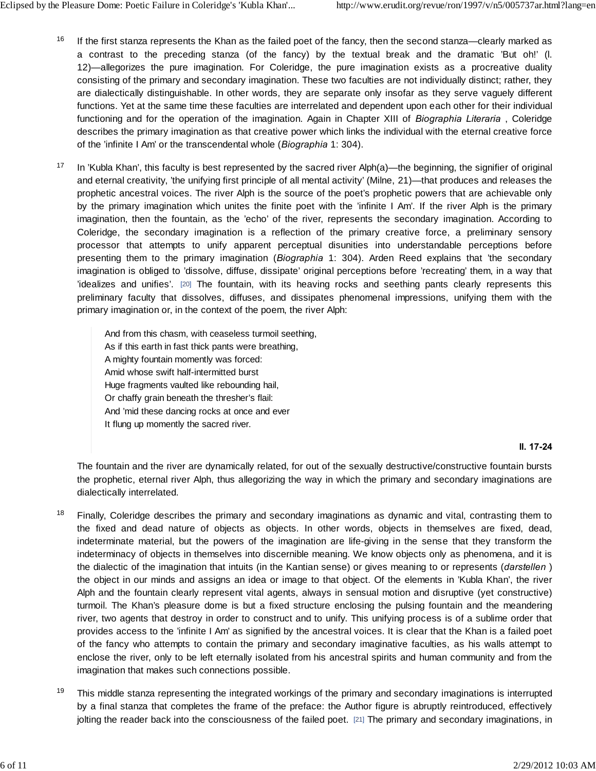- <sup>16</sup> If the first stanza represents the Khan as the failed poet of the fancy, then the second stanza—clearly marked as a contrast to the preceding stanza (of the fancy) by the textual break and the dramatic 'But oh!' (l.<br>12)—allegorizes the pure imagination. For Coleridge, the pure imagination exists as a procreative duality If the first stanza represents the Khan as the failed poet of the fancy, then the second stanza—clearly marked as<br>a contrast to the preceding stanza (of the fancy) by the textual break and the dramatic 'But oh!' (I.<br>12)—al consisting of the primary and secondary imagination. These two faculties are not individually distinct; rather, they are dialectically distinguishable. In other words, they are separate only insofar as they serve vaguely different functions. Yet at the same time these faculties are interrelated and dependent upon each other for their individual functioning and for the operation of the imagination. Again in Chapter XIII of *Biographia Literaria* , Coleridge describes the primary imagination as that creative power which links the individual with the eternal creative force of the 'infinite I Am' or the transcendental whole (*Biographia* 1: 304).
- <sup>17</sup> In 'Kubla Khan', this faculty is best represented by the sacred river Alph(a)—the beginning, the signifier of original and eternal creativity, 'the unifying first principle of all mental activity' (Milne, 21)—that produces and releases the prophetic ancestral voices. The river Alph is the source of the poet's prophetic powers that are achievable only by the primary imagination which unites the finite poet with the 'infinite I Am'. If the river Alph is the primary imagination, then the fountain, as the 'echo' of the river, represents the secondary imagination. According to and eternal creativity, 'the unifying first principle of all mental activity' (Milne, 21)—that produces and releases the prophetic ancestral voices. The river Alph is the source of the poet's prophetic powers that are achi prophetic ancestral voices. The river Alph is the source of the poet's prophetic powers that are achievable only<br>by the primary imagination which unites the finite poet with the 'infinite I Am'. If the river Alph is the pr by the primary imagination which unites the finite poet with the 'infinite I Am'. If the river Alph is the primary imagination, then the fountain, as the 'echo' of the river, represents the secondary imagination. According Coleridge, the secondary imagination is a reflection of the primary creative force, a preliminary sensory<br>processor that attempts to unify apparent perceptual disunities into understandable perceptions before<br>presenting th processor that attempts to unify apparent perceptual disunities into understandable perceptions before presenting them to the primary imagination (*Biographia* 1: 304). Arden Reed explains that 'the secondary imagination i primary imagination or, in the context of the poem, the river Alph:

And from this chasm, with ceaseless turmoil seething, As if this earth in fast thick pants were breathing, A mighty fountain momently was forced: Amid whose swift half-intermitted burst Huge fragments vaulted like rebounding hail, Or chaffy grain beneath the thresher's flail: And 'mid these dancing rocks at once and ever It flung up momently the sacred river.

## **ll. 17-24**

The fountain and the river are dynamically related, for out of the sexually destructive/constructive fountain bursts the prophetic, eternal river Alph, thus allegorizing the way in which the primary and secondary imaginations are dialectically interrelated.

- <sup>18</sup> Finally, Coleridge describes the primary and secondary imaginations as dynamic and vital, contrasting them to the prophetic, eternal river Alph, thus allegorizing the way in which the primary and secondary imaginations are dialectically interrelated.<br>Finally, Coleridge describes the primary and secondary imaginations as dynamic an indeterminacy of objects in themselves into discernible meaning. We know objects only as phenomena, and it is the dialectic of the imagination that intuits (in the Kantian sense) or gives meaning to or represents (*darstellen* ) the object in our minds and assigns an idea or image to that object. Of the elements in 'Kubla Khan', the river Alph and the fountain clearly represent vital agents, always in sensual motion and disruptive (yet constructive) turmoil. The Khan's pleasure dome is but a fixed structure enclosing the pulsing fountain and the meandering river, two agents that destroy in order to construct and to unify. This unifying process is of a sublime order that provides access to the 'infinite I Am' as signified by the ancestral voices. It is clear that the Khan is a failed poet of the fancy who attempts to contain the primary and secondary imaginative faculties, as his walls attempt to enclose the river, only to be left eternally isolated from his ancestral spirits and human community and from the imagination that makes such connections possible.
- <sup>19</sup> This middle stanza representing the integrated workings of the primary and secondary imaginations is interrupted by a final stanza that completes the frame of the preface: the Author figure is abruptly reintroduced, effectively jolting the reader back into the consciousness of the failed poet. [21] The primary and secondary imaginations, in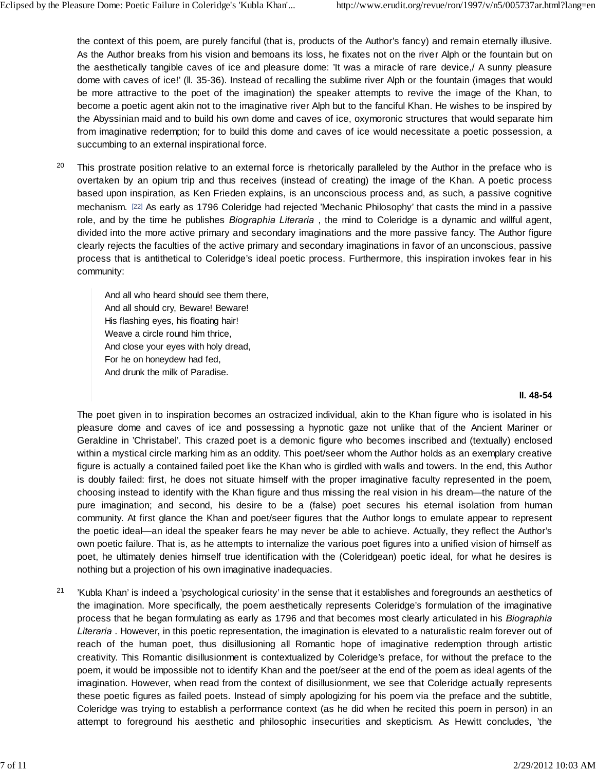the context of this poem, are purely fanciful (that is, products of the Author's fancy) and remain eternally illusive. As the Author breaks from his vision and bemoans its loss, he fixates not on the river Alph or the fountain but on the aesthetically tangible caves of ice and pleasure dome: 'It was a miracle of rare device,/ A sunny pleasure dome with caves of ice!' (ll. 35-36). Instead of recalling the sublime river Alph or the fountain (images that would be more attractive to the poet of the imagination) the speaker attempts to revive the image of the Khan, to become a poetic agent akin not to the imaginative river Alph but to the fanciful Khan. He wishes to be inspired by the Abyssinian maid and to build his own dome and caves of ice, oxymoronic structures that would separate him from imaginative redemption; for to build this dome and caves of ice would necessitate a poetic possession, a succumbing to an external inspirational force.

<sup>20</sup> This prostrate position relative to an external force is rhetorically paralleled by the Author in the preface who is overtaken by an opium trip and thus receives (instead of creating) the image of the Khan. A poetic process based upon inspiration, as Ken Frieden explains, is an unconscious process and, as such, a passive cognitive mechanism. [22] As early as 1796 Coleridge had rejected 'Mechanic Philosophy' that casts the mind in a passive role, and by the time he publishes *Biographia Literaria* , the mind to Coleridge is a dynamic and willful agent, divided into the more active primary and secondary imaginations and the more passive fancy. The Author figure clearly rejects the faculties of the active primary and secondary imaginations in favor of an unconscious, passive process that is antithetical to Coleridge's ideal poetic process. Furthermore, this inspiration invokes fear in his community:

And all who heard should see them there, And all should cry, Beware! Beware! His flashing eyes, his floating hair! Weave a circle round him thrice, And close your eyes with holy dread, For he on honeydew had fed, And drunk the milk of Paradise.

## **ll. 48-54**

The poet given in to inspiration becomes an ostracized individual, akin to the Khan figure who is isolated in his pleasure dome and caves of ice and possessing a hypnotic gaze not unlike that of the Ancient Mariner or Geraldine in 'Christabel'. This crazed poet is a demonic figure who becomes inscribed and (textually) enclosed within a mystical circle marking him as an oddity. This poet/seer whom the Author holds as an exemplary creative figure is actually a contained failed poet like the Khan who is girdled with walls and towers. In the end, this Author is doubly failed: first, he does not situate himself with the proper imaginative faculty represented in the poem, choosing instead to identify with the Khan figure and thus missing the real vision in his dream—the nature of the within a mystical circle marking him as an oddity. This poet/seer whom the Author holds as an exemplary creative<br>figure is actually a contained failed poet like the Khan who is girdled with walls and towers. In the end, th the poetic ideal—an ideal the speaker fears he may never be able to achieve. Actually, they reflect the Author's own poetic failure. That is, as he attempts to internalize the various poet figures into a unified vision of himself as poet, he ultimately denies himself true identification with the (Coleridgean) poetic ideal, for what he desires is nothing but a projection of his own imaginative inadequacies.

<sup>21</sup> 'Kubla Khan' is indeed a 'psychological curiosity' in the sense that it establishes and foregrounds an aesthetics of the imagination. More specifically, the poem aesthetically represents Coleridge's formulation of the imaginative process that he began formulating as early as 1796 and that becomes most clearly articulated in his *Biographia Literaria* . However, in this poetic representation, the imagination is elevated to a naturalistic realm forever out of 'Kubla Khan' is indeed a 'psychological curiosity' in the sense that it establishes and foregrounds an aesthetics of<br>the imagination. More specifically, the poem aesthetically represents Coleridge's formulation of the imag creativity. This Romantic disillusionment is contextualized by Coleridge's preface, for without the preface to the poem, it would be impossible not to identify Khan and the poet/seer at the end of the poem as ideal agents of the imagination. However, when read from the context of disillusionment, we see that Coleridge actually represents these poetic figures as failed poets. Instead of simply apologizing for his poem via the preface and the subtitle, Coleridge was trying to establish a performance context (as he did when he recited this poem in person) in an attempt to foreground his aesthetic and philosophic insecurities and skepticism. As Hewitt concludes, 'the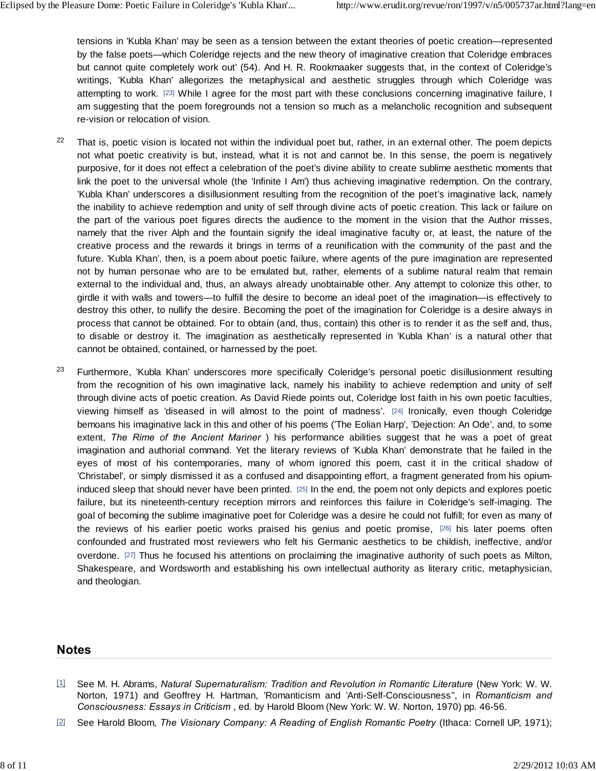tensions in 'Kubla Khan' may be seen as a tension between the extant theories of poetic creation—represented by the false poets—which Coleridge rejects and the new theory of imaginative creation that Coleridge embraces but cannot quite completely work out' (54). And H. R. Rookmaaker suggests that, in the context of Coleridge's writings, 'Kubla Khan' allegorizes the metaphysical and aesthetic struggles through which Coleridge was attempting to work. [23] While I agree for the most part with these conclusions concerning imaginative failure, I am suggesting that the poem foregrounds not a tension so much as a melancholic recognition and subsequent re-vision or relocation of vision.

- <sup>22</sup> That is, poetic vision is located not within the individual poet but, rather, in an external other. The poem depicts not what poetic creativity is but, instead, what it is not and cannot be. In this sense, the poem is negatively purposive, for it does not effect a celebration of the poet's divine ability to create sublime aesthetic moments that link the poet to the universal whole (the 'Infinite I Am') thus achieving imaginative redemption. On the contrary, 'Kubla Khan' underscores a disillusionment resulting from the recognition of the poet's imaginative lack, namely the inability to achieve redemption and unity of self through divine acts of poetic creation. This lack or failure on the part of the various poet figures directs the audience to the moment in the vision that the Author misses, namely that the river Alph and the fountain signify the ideal imaginative faculty or, at least, the nature of the creative process and the rewards it brings in terms of a reunification with the community of the past and the future. 'Kubla Khan', then, is a poem about poetic failure, where agents of the pure imagination are represented not by human personae who are to be emulated but, rather, elements of a sublime natural realm that remain external to the individual and, thus, an always already unobtainable other. Any attempt to colonize this other, to girdle it with walls and towers—to fulfill the desire to become an ideal poet of the imagination—is effectively to destroy this other, to nullify the desire. Becoming the poet of the imagination for Coleridge is a desire always in process that cannot be obtained. For to obtain (and, thus, contain) this other is to render it as the self and, thus, to disable or destroy it. The imagination as aesthetically represented in 'Kubla Khan' is a natural other that cannot be obtained, contained, or harnessed by the poet.
- <sup>23</sup> Furthermore, 'Kubla Khan' underscores more specifically Coleridge's personal poetic disillusionment resulting from the recognition of his own imaginative lack, namely his inability to achieve redemption and unity of self through divine acts of poetic creation. As David Riede points out, Coleridge lost faith in his own poetic faculties, Furthermore, 'Kubla Khan' underscores more specifically Coleridge's personal poetic disillusionment resulting<br>from the recognition of his own imaginative lack, namely his inability to achieve redemption and unity of self<br>t bemoans his imaginative lack in this and other of his poems ('The Eolian Harp', 'Dejection: An Ode', and, to some from the recognition of his own imaginative lack, namely his inability to achieve redemption and unity of self<br>through divine acts of poetic creation. As David Riede points out, Coleridge lost faith in his own poetic facul imagination and authorial command. Yet the literary reviews of 'Kubla Khan' demonstrate that he failed in the viewing himself as 'diseased in will almost to the point of madness'. [24] Ironically, even though Coleridge<br>bemoans his imaginative lack in this and other of his poems ('The Eolian Harp', 'Dejection: An Ode', and, to some induced sleep that should never have been printed. [25] In the end, the poem not only depicts and explores poetic failure, but its nineteenth-century reception mirrors and reinforces this failure in Coleridge's self-imaging. The goal of becoming the sublime imaginative poet for Coleridge was a desire he could not fulfill; for even as many of 'Christabel', or simply dismissed it as a confused and disappointing effort, a fragment generated from his opium-<br>induced sleep that should never have been printed. [25] In the end, the poem not only depicts and explores p confounded and frustrated most reviewers who felt his Germanic aesthetics to be childish, ineffective, and/or overdone. [27] Thus he focused his attentions on proclaiming the imaginative authority of such poets as Milton, Shakespeare, and Wordsworth and establishing his own intellectual authority as literary critic, metaphysician, and theologian.

## **Notes**

- [1] See M. H. Abrams, *Natural Supernaturalism: Tradition and Revolution in Romantic Literature* (New York: W. W. Norton, 1971) and Geoffrey H. Hartman, 'Romanticism and 'Anti-Self-Consciousness'', in *Romanticism and Consciousness: Essays in Criticism* , ed. by Harold Bloom (New York: W. W. Norton, 1970) pp. 46-56.
- [2] See Harold Bloom, *The Visionary Company: A Reading of English Romantic Poetry* (Ithaca: Cornell UP, 1971);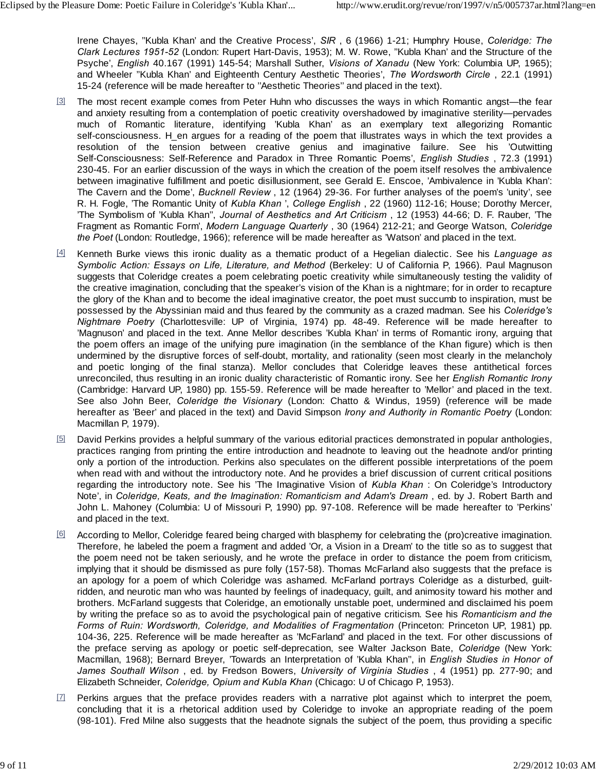Irene Chayes, ''Kubla Khan' and the Creative Process', *SIR* , 6 (1966) 1-21; Humphry House, *Coleridge: The Clark Lectures 1951-52* (London: Rupert Hart-Davis, 1953); M. W. Rowe, ''Kubla Khan' and the Structure of the Psyche', *English* 40.167 (1991) 145-54; Marshall Suther, *Visions of Xanadu* (New York: Columbia UP, 1965); 15-24 (reference will be made hereafter to ''Aesthetic Theories'' and placed in the text).

- [3] The most recent example comes from Peter Huhn who discusses the ways in which Romantic angst—the fear and Wheeler "Kubla Khan' and Eighteenth Century Aesthetic Theories', *The Wordsworth Circle*, 22.1 (1991)<br>15-24 (reference will be made hereafter to "Aesthetic Theories" and placed in the text).<br>The most recent example com and anxiety resulting from a contemplation of poetic creativity overshadowed by imaginative sterility—pervades self-consciousness. H\_en argues for a reading of the poem that illustrates ways in which the text provides a much of Romantic literature, identifying 'Kubla Khan' as an exemplary text allegorizing Romantic self-consciousness. H\_en argues for a reading of the poem that illustrates ways in which the text provides a resolution of th Self-Consciousness: Self-Reference and Paradox in Three Romantic Poems', *English Studies* , 72.3 (1991) 230-45. For an earlier discussion of the ways in which the creation of the poem itself resolves the ambivalence between imaginative fulfillment and poetic disillusionment, see Gerald E. Enscoe, 'Ambivalence in 'Kubla Khan': The Cavern and the Dome', *Bucknell Review* , 12 (1964) 29-36. For further analyses of the poem's 'unity', see R. H. Fogle, 'The Romantic Unity of *Kubla Khan* ', *College English* , 22 (1960) 112-16; House; Dorothy Mercer, 'The Symbolism of 'Kubla Khan'', *Journal of Aesthetics and Art Criticism* , 12 (1953) 44-66; D. F. Rauber, 'The Fragment as Romantic Form', *Modern Language Quarterly* , 30 (1964) 212-21; and George Watson, *Coleridge the Poet* (London: Routledge, 1966); reference will be made hereafter as 'Watson' and placed in the text.
- [4] Kenneth Burke views this ironic duality as a thematic product of a Hegelian dialectic. See his *Language as Symbolic Action: Essays on Life, Literature, and Method* (Berkeley: U of California P, 1966). Paul Magnuson suggests that Coleridge creates a poem celebrating poetic creativity while simultaneously testing the validity of the creative imagination, concluding that the speaker's vision of the Khan is a nightmare; for in order to recapture the glory of the Khan and to become the ideal imaginative creator, the poet must succumb to inspiration, must be possessed by the Abyssinian maid and thus feared by the community as a crazed madman. See his *Coleridge's Nightmare Poetry* (Charlottesville: UP of Virginia, 1974) pp. 48-49. Reference will be made hereafter to "Magnuson" and placed in the text. Anne Mellor describes "Kubla Khan" in terms of Romantic irony, arguing that the p 'Magnuson' and placed in the text. Anne Mellor describes 'Kubla Khan' in terms of Romantic irony, arguing that the poem offers an image of the unifying pure imagination (in the semblance of the Khan figure) which is then undermined by the disruptive forces of self-doubt, mortality, and rationality (seen most clearly in the melancholy possessed by the Abyssiman matu and thus leared by the community as a clazed madman. See his Coleridge's Nightmare Poetry (Charlottesville: UP of Virginia, 1974) pp. 48-49. Reference will be made hereafter to 'Magnuson' an unreconciled, thus resulting in an ironic duality characteristic of Romantic irony. See her *English Romantic Irony* (Cambridge: Harvard UP, 1980) pp. 155-59. Reference will be made hereafter to 'Mellor' and placed in the text. and poetic longing of the final stanza). Mellor concludes that Coleridge leaves these antithetical forces unreconciled, thus resulting in an ironic duality characteristic of Romantic irony. See her *English Romantic Irony* hereafter as 'Beer' and placed in the text) and David Simpson *Irony and Authority in Romantic Poetry* (London: Macmillan P, 1979).
- [5] David Perkins provides a helpful summary of the various editorial practices demonstrated in popular anthologies, practices ranging from printing the entire introduction and headnote to leaving out the headnote and/or printing only a portion of the introduction. Perkins also speculates on the different possible interpretations of the poem when read with and without the introductory note. And he provides a brief discussion of current critical positions regarding the introductory note. See his 'The Imaginative Vision of *Kubla Khan* : On Coleridge's Introductory Note', in *Coleridge, Keats, and the Imagination: Romanticism and Adam's Dream* , ed. by J. Robert Barth and John L. Mahoney (Columbia: U of Missouri P, 1990) pp. 97-108. Reference will be made hereafter to 'Perkins' and placed in the text.
- [6] According to Mellor, Coleridge feared being charged with blasphemy for celebrating the (pro)creative imagination. Therefore, he labeled the poem a fragment and added 'Or, a Vision in a Dream' to the title so as to suggest that the poem need not be taken seriously, and he wrote the preface in order to distance the poem from criticism, implying that it should be dismissed as pure folly (157-58). Thomas McFarland also suggests that the preface is an apology for a poem of which Coleridge was ashamed. McFarland portrays Coleridge as a disturbed, guiltridden, and neurotic man who was haunted by feelings of inadequacy, guilt, and animosity toward his mother and brothers. McFarland suggests that Coleridge, an emotionally unstable poet, undermined and disclaimed his poem by writing the preface so as to avoid the psychological pain of negative criticism. See his *Romanticism and the Forms of Ruin: Wordsworth, Coleridge, and Modalities of Fragmentation* (Princeton: Princeton UP, 1981) pp. 104-36, 225. Reference will be made hereafter as 'McFarland' and placed in the text. For other discussions of the preface serving as apology or poetic self-deprecation, see Walter Jackson Bate, *Coleridge* (New York: Macmillan, 1968); Bernard Breyer, 'Towards an Interpretation of 'Kubla Khan'', in *English Studies in Honor of James Southall Wilson* , ed. by Fredson Bowers, *University of Virginia Studies* , 4 (1951) pp. 277-90; and Elizabeth Schneider, *Coleridge, Opium and Kubla Khan* (Chicago: U of Chicago P, 1953). Macmillan, 1968); Bernard Breyer, 'Towards an Interpretation of 'Kubla Khan", in *English Studies in Honor of James Southall Wilson*, ed. by Fredson Bowers, *University of Virginia Studies*, 4 (1951) pp. 277-90; and Elizab
- $\boxtimes$  Perkins argues that the preface provides readers with a narrative plot against which to interpret the poem, (98-101). Fred Milne also suggests that the headnote signals the subject of the poem, thus providing a specific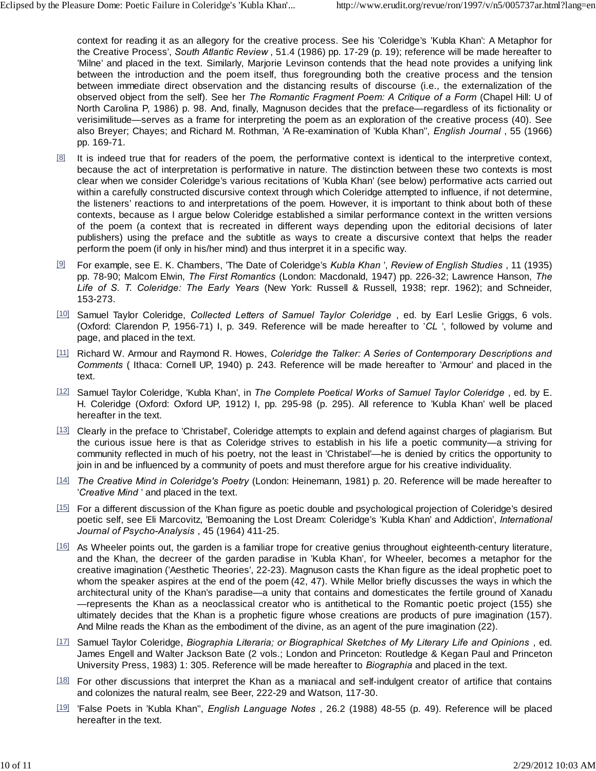context for reading it as an allegory for the creative process. See his 'Coleridge's 'Kubla Khan': A Metaphor for the Creative Process', *South Atlantic Review* , 51.4 (1986) pp. 17-29 (p. 19); reference will be made hereafter to 'Milne' and placed in the text. Similarly, Marjorie Levinson contends that the head note provides a unifying link between the introduction and the poem itself, thus foregrounding both the creative process and the tension between immediate direct observation and the distancing results of discourse (i.e., the externalization of the observed object from the self). See her *The Romantic Fragment Poem: A Critique of a Form* (Chapel Hill: U of North Carolina P, 1986) p. 98. And, finally, Magnuson decides that the preface—regardless of its fictionality or verisimilitude—serves as a frame for interpreting the poem as an exploration of the creative process (40). See also Breyer; Chayes; and Richard M. Rothman, 'A Re-examination of 'Kubla Khan'', *English Journal* , 55 (1966) pp. 169-71.

- [8] It is indeed true that for readers of the poem, the performative context is identical to the interpretive context, because the act of interpretation is performative in nature. The distinction between these two contexts is most because the act of interpretation is performative in riadue. The distribution between these two contexts is most<br>clear when we consider Coleridge's various recitations of 'Kubla Khan' (see below) performative acts carried within a carefully constructed discursive context through which Coleridge attempted to influence, if not determine, the listeners' reactions to and interpretations of the poem. However, it is important to think about both of these contexts, because as I argue below Coleridge established a similar performance context in the written versions publishers) using the preface and the subtitle as ways to create a discursive context that helps the reader perform the poem (if only in his/her mind) and thus interpret it in a specific way.
- [9] For example, see E. K. Chambers, 'The Date of Coleridge's *Kubla Khan* ', *Review of English Studies* , 11 (1935) pp. 78-90; Malcom Elwin, *The First Romantics* (London: Macdonald, 1947) pp. 226-32; Lawrence Hanson, *The Life of S. T. Coleridge: The Early Years* (New York: Russell & Russell, 1938; repr. 1962); and Schneider, 153-273.
- [10] Samuel Taylor Coleridge, *Collected Letters of Samuel Taylor Coleridge* , ed. by Earl Leslie Griggs, 6 vols. (Oxford: Clarendon P, 1956-71) I, p. 349. Reference will be made hereafter to '*CL* ', followed by volume and page, and placed in the text.
- [11] Richard W. Armour and Raymond R. Howes, *Coleridge the Talker: A Series of Contemporary Descriptions and Comments* ( Ithaca: Cornell UP, 1940) p. 243. Reference will be made hereafter to 'Armour' and placed in the text.
- [12] Samuel Taylor Coleridge, 'Kubla Khan', in *The Complete Poetical Works of Samuel Taylor Coleridge* , ed. by E. H. Coleridge (Oxford: Oxford UP, 1912) I, pp. 295-98 (p. 295). All reference to 'Kubla Khan' well be placed hereafter in the text.
- [13] Clearly in the preface to 'Christabel', Coleridge attempts to explain and defend against charges of plagiarism. But the curious issue here is that as Coleridge strives to establish in his life a poetic community—a striving for community reflected in much of his poetry, not the least in 'Christabel'—he is denied by critics the opportunity to join in and be influenced by a community of poets and must therefore argue for his creative individuality.
- [14] *The Creative Mind in Coleridge's Poetry* (London: Heinemann, 1981) p. 20. Reference will be made hereafter to '*Creative Mind* ' and placed in the text.
- [15] For a different discussion of the Khan figure as poetic double and psychological projection of Coleridge's desired poetic self, see Eli Marcovitz, 'Bemoaning the Lost Dream: Coleridge's 'Kubla Khan' and Addiction', *International Journal of Psycho-Analysis* , 45 (1964) 411-25.
- [16] As Wheeler points out, the garden is a familiar trope for creative genius throughout eighteenth-century literature, and the Khan, the decreer of the garden paradise in 'Kubla Khan', for Wheeler, becomes a metaphor for the creative imagination ('Aesthetic Theories', 22-23). Magnuson casts the Khan figure as the ideal prophetic poet to whom the speaker aspires at the end of the poem (42, 47). While Mellor briefly discusses the ways in which the architectural unity of the Khan's paradise—a unity that contains and domesticates the fertile ground of Xanadu —represents the Khan as a neoclassical creator who is antithetical to the Romantic poetic project (155) she ultimately decides that the Khan is a prophetic figure whose creations are products of pure imagination (157). And Milne reads the Khan as the embodiment of the divine, as an agent of the pure imagination (22).
- [17] Samuel Taylor Coleridge, *Biographia Literaria; or Biographical Sketches of My Literary Life and Opinions* , ed. James Engell and Walter Jackson Bate (2 vols.; London and Princeton: Routledge & Kegan Paul and Princeton University Press, 1983) 1: 305. Reference will be made hereafter to *Biographia* and placed in the text.
- [18] For other discussions that interpret the Khan as a maniacal and self-indulgent creator of artifice that contains and colonizes the natural realm, see Beer, 222-29 and Watson, 117-30.
- [19] 'False Poets in 'Kubla Khan'', *English Language Notes* , 26.2 (1988) 48-55 (p. 49). Reference will be placed hereafter in the text.